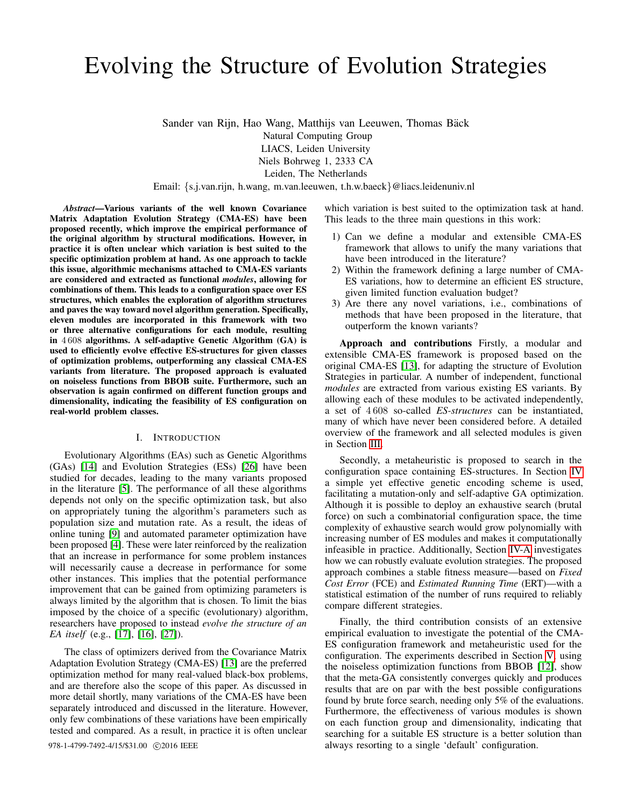# Evolving the Structure of Evolution Strategies

Sander van Rijn, Hao Wang, Matthijs van Leeuwen, Thomas Bäck Natural Computing Group LIACS, Leiden University Niels Bohrweg 1, 2333 CA Leiden, The Netherlands

Email: {s.j.van.rijn, h.wang, m.van.leeuwen, t.h.w.baeck}@liacs.leidenuniv.nl

*Abstract*—Various variants of the well known Covariance Matrix Adaptation Evolution Strategy (CMA-ES) have been proposed recently, which improve the empirical performance of the original algorithm by structural modifications. However, in practice it is often unclear which variation is best suited to the specific optimization problem at hand. As one approach to tackle this issue, algorithmic mechanisms attached to CMA-ES variants are considered and extracted as functional *modules*, allowing for combinations of them. This leads to a configuration space over ES structures, which enables the exploration of algorithm structures and paves the way toward novel algorithm generation. Specifically, eleven modules are incorporated in this framework with two or three alternative configurations for each module, resulting in 4 608 algorithms. A self-adaptive Genetic Algorithm (GA) is used to efficiently evolve effective ES-structures for given classes of optimization problems, outperforming any classical CMA-ES variants from literature. The proposed approach is evaluated on noiseless functions from BBOB suite. Furthermore, such an observation is again confirmed on different function groups and dimensionality, indicating the feasibility of ES configuration on real-world problem classes.

# I. INTRODUCTION

Evolutionary Algorithms (EAs) such as Genetic Algorithms (GAs) [\[14\]](#page-7-0) and Evolution Strategies (ESs) [\[26\]](#page-7-1) have been studied for decades, leading to the many variants proposed in the literature [\[5\]](#page-7-2). The performance of all these algorithms depends not only on the specific optimization task, but also on appropriately tuning the algorithm's parameters such as population size and mutation rate. As a result, the ideas of online tuning [\[9\]](#page-7-3) and automated parameter optimization have been proposed [\[4\]](#page-7-4). These were later reinforced by the realization that an increase in performance for some problem instances will necessarily cause a decrease in performance for some other instances. This implies that the potential performance improvement that can be gained from optimizing parameters is always limited by the algorithm that is chosen. To limit the bias imposed by the choice of a specific (evolutionary) algorithm, researchers have proposed to instead *evolve the structure of an EA itself* (e.g., [\[17\]](#page-7-5), [\[16\]](#page-7-6), [\[27\]](#page-7-7)).

The class of optimizers derived from the Covariance Matrix Adaptation Evolution Strategy (CMA-ES) [\[13\]](#page-7-8) are the preferred optimization method for many real-valued black-box problems, and are therefore also the scope of this paper. As discussed in more detail shortly, many variations of the CMA-ES have been separately introduced and discussed in the literature. However, only few combinations of these variations have been empirically tested and compared. As a result, in practice it is often unclear

which variation is best suited to the optimization task at hand. This leads to the three main questions in this work:

- 1) Can we define a modular and extensible CMA-ES framework that allows to unify the many variations that have been introduced in the literature?
- 2) Within the framework defining a large number of CMA-ES variations, how to determine an efficient ES structure, given limited function evaluation budget?
- 3) Are there any novel variations, i.e., combinations of methods that have been proposed in the literature, that outperform the known variants?

Approach and contributions Firstly, a modular and extensible CMA-ES framework is proposed based on the original CMA-ES [\[13\]](#page-7-8), for adapting the structure of Evolution Strategies in particular. A number of independent, functional *modules* are extracted from various existing ES variants. By allowing each of these modules to be activated independently, a set of 4 608 so-called *ES-structures* can be instantiated, many of which have never been considered before. A detailed overview of the framework and all selected modules is given in Section [III.](#page-1-0)

Secondly, a metaheuristic is proposed to search in the configuration space containing ES-structures. In Section [IV](#page-2-0) a simple yet effective genetic encoding scheme is used, facilitating a mutation-only and self-adaptive GA optimization. Although it is possible to deploy an exhaustive search (brutal force) on such a combinatorial configuration space, the time complexity of exhaustive search would grow polynomially with increasing number of ES modules and makes it computationally infeasible in practice. Additionally, Section [IV-A](#page-2-1) investigates how we can robustly evaluate evolution strategies. The proposed approach combines a stable fitness measure—based on *Fixed Cost Error* (FCE) and *Estimated Running Time* (ERT)—with a statistical estimation of the number of runs required to reliably compare different strategies.

Finally, the third contribution consists of an extensive empirical evaluation to investigate the potential of the CMA-ES configuration framework and metaheuristic used for the configuration. The experiments described in Section [V,](#page-3-0) using the noiseless optimization functions from BBOB [\[12\]](#page-7-9), show that the meta-GA consistently converges quickly and produces results that are on par with the best possible configurations found by brute force search, needing only 5% of the evaluations. Furthermore, the effectiveness of various modules is shown on each function group and dimensionality, indicating that searching for a suitable ES structure is a better solution than 978-1-4799-7492-4/15/\$31.00  $\odot$ 2016 IEEE always resorting to a single 'default' configuration.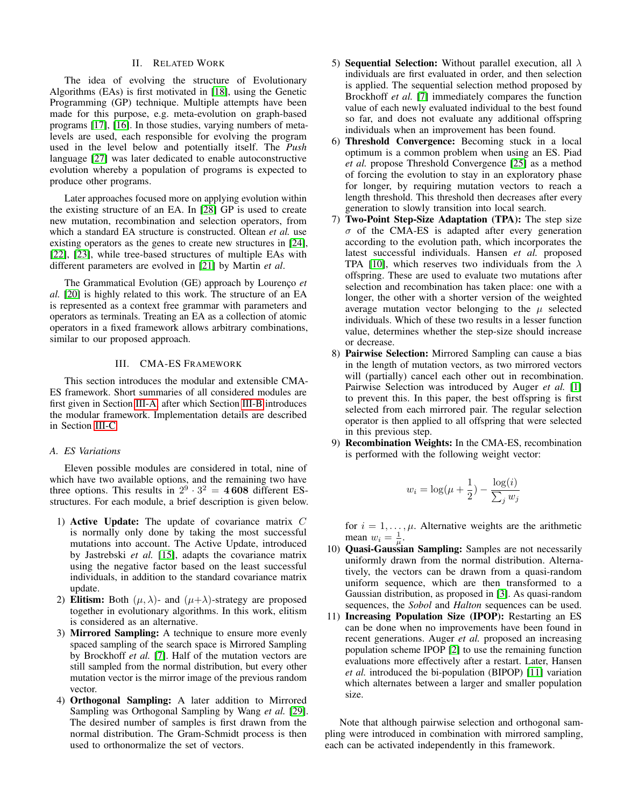# II. RELATED WORK

The idea of evolving the structure of Evolutionary Algorithms (EAs) is first motivated in [\[18\]](#page-7-10), using the Genetic Programming (GP) technique. Multiple attempts have been made for this purpose, e.g. meta-evolution on graph-based programs [\[17\]](#page-7-5), [\[16\]](#page-7-6). In those studies, varying numbers of metalevels are used, each responsible for evolving the program used in the level below and potentially itself. The *Push* language [\[27\]](#page-7-7) was later dedicated to enable autoconstructive evolution whereby a population of programs is expected to produce other programs.

Later approaches focused more on applying evolution within the existing structure of an EA. In [\[28\]](#page-7-11) GP is used to create new mutation, recombination and selection operators, from which a standard EA structure is constructed. Oltean *et al.* use existing operators as the genes to create new structures in [\[24\]](#page-7-12), [\[22\]](#page-7-13), [\[23\]](#page-7-14), while tree-based structures of multiple EAs with different parameters are evolved in [\[21\]](#page-7-15) by Martin *et al*.

The Grammatical Evolution (GE) approach by Lourenço *et al.* [\[20\]](#page-7-16) is highly related to this work. The structure of an EA is represented as a context free grammar with parameters and operators as terminals. Treating an EA as a collection of atomic operators in a fixed framework allows arbitrary combinations, similar to our proposed approach.

# III. CMA-ES FRAMEWORK

<span id="page-1-0"></span>This section introduces the modular and extensible CMA-ES framework. Short summaries of all considered modules are first given in Section [III-A,](#page-1-1) after which Section [III-B](#page-2-2) introduces the modular framework. Implementation details are described in Section [III-C.](#page-2-3)

# <span id="page-1-1"></span>*A. ES Variations*

Eleven possible modules are considered in total, nine of which have two available options, and the remaining two have three options. This results in  $2^9 \cdot 3^2 = 4608$  different ESstructures. For each module, a brief description is given below.

- 1) Active Update: The update of covariance matrix  $C$ is normally only done by taking the most successful mutations into account. The Active Update, introduced by Jastrebski *et al.* [\[15\]](#page-7-17), adapts the covariance matrix using the negative factor based on the least successful individuals, in addition to the standard covariance matrix update.
- 2) Elitism: Both  $(\mu, \lambda)$  and  $(\mu + \lambda)$ -strategy are proposed together in evolutionary algorithms. In this work, elitism is considered as an alternative.
- 3) Mirrored Sampling: A technique to ensure more evenly spaced sampling of the search space is Mirrored Sampling by Brockhoff *et al.* [\[7\]](#page-7-18). Half of the mutation vectors are still sampled from the normal distribution, but every other mutation vector is the mirror image of the previous random vector.
- 4) Orthogonal Sampling: A later addition to Mirrored Sampling was Orthogonal Sampling by Wang *et al.* [\[29\]](#page-7-19). The desired number of samples is first drawn from the normal distribution. The Gram-Schmidt process is then used to orthonormalize the set of vectors.
- 5) Sequential Selection: Without parallel execution, all  $\lambda$ individuals are first evaluated in order, and then selection is applied. The sequential selection method proposed by Brockhoff *et al.* [\[7\]](#page-7-18) immediately compares the function value of each newly evaluated individual to the best found so far, and does not evaluate any additional offspring individuals when an improvement has been found.
- 6) Threshold Convergence: Becoming stuck in a local optimum is a common problem when using an ES. Piad *et al.* propose Threshold Convergence [\[25\]](#page-7-20) as a method of forcing the evolution to stay in an exploratory phase for longer, by requiring mutation vectors to reach a length threshold. This threshold then decreases after every generation to slowly transition into local search.
- 7) Two-Point Step-Size Adaptation (TPA): The step size  $\sigma$  of the CMA-ES is adapted after every generation according to the evolution path, which incorporates the latest successful individuals. Hansen *et al.* proposed TPA [\[10\]](#page-7-21), which reserves two individuals from the  $\lambda$ offspring. These are used to evaluate two mutations after selection and recombination has taken place: one with a longer, the other with a shorter version of the weighted average mutation vector belonging to the  $\mu$  selected individuals. Which of these two results in a lesser function value, determines whether the step-size should increase or decrease.
- 8) Pairwise Selection: Mirrored Sampling can cause a bias in the length of mutation vectors, as two mirrored vectors will (partially) cancel each other out in recombination. Pairwise Selection was introduced by Auger *et al.* [\[1\]](#page-7-22) to prevent this. In this paper, the best offspring is first selected from each mirrored pair. The regular selection operator is then applied to all offspring that were selected in this previous step.
- 9) Recombination Weights: In the CMA-ES, recombination is performed with the following weight vector:

$$
w_i = \log(\mu + \frac{1}{2}) - \frac{\log(i)}{\sum_j w_j}
$$

for  $i = 1, \dots, \mu$ . Alternative weights are the arithmetic mean  $w_i = \frac{1}{\mu}$ .

- 10) Quasi-Gaussian Sampling: Samples are not necessarily uniformly drawn from the normal distribution. Alternatively, the vectors can be drawn from a quasi-random uniform sequence, which are then transformed to a Gaussian distribution, as proposed in [\[3\]](#page-7-23). As quasi-random sequences, the *Sobol* and *Halton* sequences can be used.
- 11) Increasing Population Size (IPOP): Restarting an ES can be done when no improvements have been found in recent generations. Auger *et al.* proposed an increasing population scheme IPOP [\[2\]](#page-7-24) to use the remaining function evaluations more effectively after a restart. Later, Hansen *et al.* introduced the bi-population (BIPOP) [\[11\]](#page-7-25) variation which alternates between a larger and smaller population size.

Note that although pairwise selection and orthogonal sampling were introduced in combination with mirrored sampling, each can be activated independently in this framework.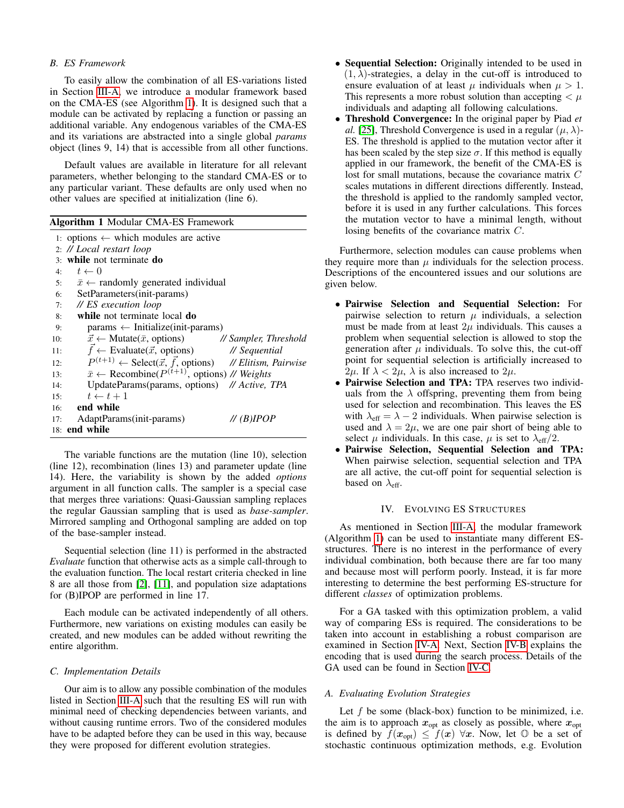# <span id="page-2-2"></span>*B. ES Framework*

To easily allow the combination of all ES-variations listed in Section [III-A,](#page-1-1) we introduce a modular framework based on the CMA-ES (see Algorithm [1\)](#page-2-4). It is designed such that a module can be activated by replacing a function or passing an additional variable. Any endogenous variables of the CMA-ES and its variations are abstracted into a single global *params* object (lines 9, 14) that is accessible from all other functions.

Default values are available in literature for all relevant parameters, whether belonging to the standard CMA-ES or to any particular variant. These defaults are only used when no other values are specified at initialization (line 6).

<span id="page-2-4"></span>

|  |  |  |  | Algorithm 1 Modular CMA-ES Framework |
|--|--|--|--|--------------------------------------|
|--|--|--|--|--------------------------------------|

|     | 1: options $\leftarrow$ which modules are active                                  |
|-----|-----------------------------------------------------------------------------------|
|     | 2: // Local restart loop                                                          |
|     | 3: while not terminate do                                                         |
|     | 4: $t \leftarrow 0$                                                               |
|     | 5: $\bar{x} \leftarrow$ randomly generated individual                             |
|     | SetParameters(init-params)<br>6:                                                  |
|     | // ES execution loop<br>7:                                                        |
| 8:  | while not terminate local do                                                      |
| 9:  | $parameters \leftarrow$ Initialize(init-params)                                   |
| 10: | $\vec{x} \leftarrow$ Mutate( $\bar{x}$ , options) // Sampler, Threshold           |
| 11: | $\vec{f} \leftarrow$ Evaluate( $\vec{x}$ , options) // Sequential                 |
| 12: | $P^{(t+1)} \leftarrow$ Select( $\vec{x}, \vec{f}$ , options) // Elitism, Pairwise |
| 13: | $\bar{x} \leftarrow$ Recombine( $P^{(t+1)}$ , options) // Weights                 |
| 14: | UpdateParams(params, options) // Active, TPA                                      |
| 15: | $t \leftarrow t + 1$                                                              |
|     | $16:$ end while                                                                   |
| 17: | AdaptParams(init-params)<br>// (B)IPOP                                            |
|     | $18:$ end while                                                                   |

The variable functions are the mutation (line 10), selection (line 12), recombination (lines 13) and parameter update (line 14). Here, the variability is shown by the added *options* argument in all function calls. The sampler is a special case that merges three variations: Quasi-Gaussian sampling replaces the regular Gaussian sampling that is used as *base-sampler*. Mirrored sampling and Orthogonal sampling are added on top of the base-sampler instead.

Sequential selection (line 11) is performed in the abstracted *Evaluate* function that otherwise acts as a simple call-through to the evaluation function. The local restart criteria checked in line 8 are all those from [\[2\]](#page-7-24), [\[11\]](#page-7-25), and population size adaptations for (B)IPOP are performed in line 17.

Each module can be activated independently of all others. Furthermore, new variations on existing modules can easily be created, and new modules can be added without rewriting the entire algorithm.

# <span id="page-2-3"></span>*C. Implementation Details*

Our aim is to allow any possible combination of the modules listed in Section [III-A](#page-1-1) such that the resulting ES will run with minimal need of checking dependencies between variants, and without causing runtime errors. Two of the considered modules have to be adapted before they can be used in this way, because they were proposed for different evolution strategies.

- Sequential Selection: Originally intended to be used in  $(1, \lambda)$ -strategies, a delay in the cut-off is introduced to ensure evaluation of at least  $\mu$  individuals when  $\mu > 1$ . This represents a more robust solution than accepting  $\lt \mu$ individuals and adapting all following calculations.
- Threshold Convergence: In the original paper by Piad *et al.* [\[25\]](#page-7-20), Threshold Convergence is used in a regular  $(\mu, \lambda)$ -ES. The threshold is applied to the mutation vector after it has been scaled by the step size  $\sigma$ . If this method is equally applied in our framework, the benefit of the CMA-ES is lost for small mutations, because the covariance matrix C scales mutations in different directions differently. Instead, the threshold is applied to the randomly sampled vector, before it is used in any further calculations. This forces the mutation vector to have a minimal length, without losing benefits of the covariance matrix C.

Furthermore, selection modules can cause problems when they require more than  $\mu$  individuals for the selection process. Descriptions of the encountered issues and our solutions are given below.

- Pairwise Selection and Sequential Selection: For pairwise selection to return  $\mu$  individuals, a selection must be made from at least  $2\mu$  individuals. This causes a problem when sequential selection is allowed to stop the generation after  $\mu$  individuals. To solve this, the cut-off point for sequential selection is artificially increased to 2 $\mu$ . If  $\lambda < 2\mu$ ,  $\lambda$  is also increased to  $2\mu$ .
- Pairwise Selection and TPA: TPA reserves two individuals from the  $\lambda$  offspring, preventing them from being used for selection and recombination. This leaves the ES with  $\lambda_{\text{eff}} = \lambda - 2$  individuals. When pairwise selection is used and  $\lambda = 2\mu$ , we are one pair short of being able to select  $\mu$  individuals. In this case,  $\mu$  is set to  $\lambda_{\text{eff}}/2$ .
- Pairwise Selection, Sequential Selection and TPA: When pairwise selection, sequential selection and TPA are all active, the cut-off point for sequential selection is based on  $\lambda_{\text{eff}}$ .

## IV. EVOLVING ES STRUCTURES

<span id="page-2-0"></span>As mentioned in Section [III-A,](#page-1-1) the modular framework (Algorithm [1\)](#page-2-4) can be used to instantiate many different ESstructures. There is no interest in the performance of every individual combination, both because there are far too many and because most will perform poorly. Instead, it is far more interesting to determine the best performing ES-structure for different *classes* of optimization problems.

For a GA tasked with this optimization problem, a valid way of comparing ESs is required. The considerations to be taken into account in establishing a robust comparison are examined in Section [IV-A.](#page-2-1) Next, Section [IV-B](#page-3-1) explains the encoding that is used during the search process. Details of the GA used can be found in Section [IV-C.](#page-3-2)

#### <span id="page-2-1"></span>*A. Evaluating Evolution Strategies*

Let  $f$  be some (black-box) function to be minimized, i.e. the aim is to approach  $x_{opt}$  as closely as possible, where  $x_{opt}$ is defined by  $f(x_{opt}) \leq f(x) \,\forall x$ . Now, let  $\mathbb O$  be a set of stochastic continuous optimization methods, e.g. Evolution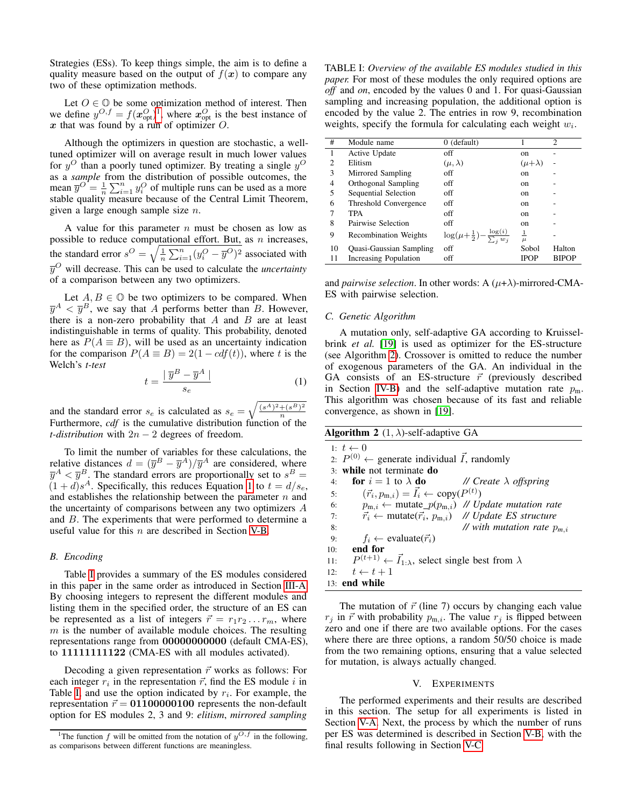Strategies (ESs). To keep things simple, the aim is to define a quality measure based on the output of  $f(x)$  to compare any two of these optimization methods.

Let  $O \in \mathbb{O}$  be some optimization method of interest. Then we define  $y^{O,f} = f(x_{\text{opt}}^O)^T$ , where  $x_{\text{opt}}^O$  is the best instance of  $x$  that was found by a run of optimizer  $O$ .

Although the optimizers in question are stochastic, a welltuned optimizer will on average result in much lower values for  $y^O$  than a poorly tuned optimizer. By treating a single  $y^O$ as a *sample* from the distribution of possible outcomes, the mean  $\overline{y}^O = \frac{1}{n} \sum_{i=1}^n y_i^O$  of multiple runs can be used as a more stable quality measure because of the Central Limit Theorem, given a large enough sample size  $n$ .

A value for this parameter  $n$  must be chosen as low as possible to reduce computational effort. But, as  $n$  increases, the standard error  $s^O = \sqrt{\frac{1}{n} \sum_{i=1}^n (y_i^O - \overline{y}^O)^2}$  associated with  $\overline{y}^O$  will decrease. This can be used to calculate the *uncertainty* of a comparison between any two optimizers.

Let  $A, B \in \mathbb{O}$  be two optimizers to be compared. When  $\overline{y}^{A} < \overline{y}^{B}$ , we say that A performs better than B. However, there is a non-zero probability that  $A$  and  $B$  are at least indistinguishable in terms of quality. This probability, denoted here as  $P(A \equiv B)$ , will be used as an uncertainty indication for the comparison  $P(A \equiv B) = 2(1 - cdf(t))$ , where t is the Welch's *t-test*

<span id="page-3-4"></span>
$$
t = \frac{\mid \overline{y}^B - \overline{y}^A \mid}{s_e} \tag{1}
$$

and the standard error  $s_e$  is calculated as  $s_e = \sqrt{\frac{(s^A)^2 + (s^B)^2}{n}}$ n Furthermore, *cdf* is the cumulative distribution function of the *t-distribution* with  $2n - 2$  degrees of freedom.

To limit the number of variables for these calculations, the relative distances  $d = (\overline{y}^B - \overline{y}^A)/\overline{y}^A$  are considered, where  $\overline{y}^A < \overline{y}^B$ . The standard errors are proportionally set to  $s^B =$  $(1+d)s<sup>A</sup>$ . Specifically, this reduces Equation [1](#page-3-4) to  $t = d/s_e$ , and establishes the relationship between the parameter  $n$  and the uncertainty of comparisons between any two optimizers A and B. The experiments that were performed to determine a useful value for this  $n$  are described in Section [V-B.](#page-4-0)

## <span id="page-3-1"></span>*B. Encoding*

Table [I](#page-3-5) provides a summary of the ES modules considered in this paper in the same order as introduced in Section [III-A.](#page-1-1) By choosing integers to represent the different modules and listing them in the specified order, the structure of an ES can be represented as a list of integers  $\vec{r} = r_1 r_2 \dots r_m$ , where  $m$  is the number of available module choices. The resulting representations range from 00000000000 (default CMA-ES), to 11111111122 (CMA-ES with all modules activated).

Decoding a given representation  $\vec{r}$  works as follows: For each integer  $r_i$  in the representation  $\vec{r}$ , find the ES module i in Table [I,](#page-3-5) and use the option indicated by  $r_i$ . For example, the representation  $\vec{r} = 01100000100$  represents the non-default option for ES modules 2, 3 and 9: *elitism*, *mirrored sampling*

<span id="page-3-5"></span>TABLE I: *Overview of the available ES modules studied in this paper.* For most of these modules the only required options are *off* and *on*, encoded by the values 0 and 1. For quasi-Gaussian sampling and increasing population, the additional option is encoded by the value 2. The entries in row 9, recombination weights, specify the formula for calculating each weight  $w_i$ .

| #  | Module name                  | $0$ (default)                                      |                   | $\overline{c}$ |
|----|------------------------------|----------------------------------------------------|-------------------|----------------|
| 1  | Active Update                | off                                                | on                |                |
| 2  | Elitism                      | $(\mu, \lambda)$                                   | $(\mu + \lambda)$ |                |
| 3  | Mirrored Sampling            | off                                                | on                |                |
| 4  | Orthogonal Sampling          | off                                                | on                |                |
| 5  | Sequential Selection         | off                                                | on                |                |
| 6  | Threshold Convergence        | off                                                | on                |                |
|    | TPA                          | off                                                | on                |                |
| 8  | Pairwise Selection           | off                                                | on                |                |
| 9  | <b>Recombination Weights</b> | $\log(\mu+\frac{1}{2})-\frac{\log(i)}{\sum_i w_i}$ | $\frac{1}{\mu}$   |                |
| 10 | Quasi-Gaussian Sampling      | off                                                | Sobol             | Halton         |
| 11 | Increasing Population        | off                                                | <b>IPOP</b>       | <b>BIPOP</b>   |

and *pairwise selection*. In other words: A  $(\mu + \lambda)$ -mirrored-CMA-ES with pairwise selection.

## <span id="page-3-2"></span>*C. Genetic Algorithm*

A mutation only, self-adaptive GA according to Kruisselbrink *et al.* [\[19\]](#page-7-26) is used as optimizer for the ES-structure (see Algorithm [2\)](#page-3-6). Crossover is omitted to reduce the number of exogenous parameters of the GA. An individual in the GA consists of an ES-structure  $\vec{r}$  (previously described in Section [IV-B\)](#page-3-1) and the self-adaptive mutation rate  $p_m$ . This algorithm was chosen because of its fast and reliable convergence, as shown in [\[19\]](#page-7-26).

<span id="page-3-6"></span>

|  |  | <b>Algorithm 2</b> $(1, \lambda)$ -self-adaptive GA |
|--|--|-----------------------------------------------------|
|--|--|-----------------------------------------------------|

|     | $1: t \leftarrow 0$                                                                   |
|-----|---------------------------------------------------------------------------------------|
|     | 2: $P^{(0)} \leftarrow$ generate individual $\vec{I}$ , randomly                      |
|     | 3: while not terminate do                                                             |
| 4:  | <b>for</b> $i = 1$ to $\lambda$ <b>do</b> // <i>Create</i> $\lambda$ <i>offspring</i> |
| 5:  | $(\vec{r}_i, p_{m,i}) = \vec{I}_i \leftarrow \text{copy}(P^{(t)})$                    |
| 6:  | $p_{m,i} \leftarrow$ mutate_ $p(p_{m,i})$ // Update mutation rate                     |
| 7:  | $\vec{r}_i \leftarrow \text{mutate}(\vec{r}_i, p_{m,i})$ // Update ES structure       |
| 8:  | // with mutation rate $p_{m,i}$                                                       |
| 9:  | $f_i \leftarrow \text{evaluate}(\vec{r}_i)$                                           |
| 10: | end for                                                                               |
| 11: | $P^{(t+1)} \leftarrow \vec{I}_{1:\lambda}$ , select single best from $\lambda$        |
| 12: | $t \leftarrow t + 1$                                                                  |
|     | $13:$ end while                                                                       |

The mutation of  $\vec{r}$  (line 7) occurs by changing each value  $r_j$  in  $\vec{r}$  with probability  $p_{m,i}$ . The value  $r_j$  is flipped between zero and one if there are two available options. For the cases where there are three options, a random 50/50 choice is made from the two remaining options, ensuring that a value selected for mutation, is always actually changed.

## V. EXPERIMENTS

<span id="page-3-0"></span>The performed experiments and their results are described in this section. The setup for all experiments is listed in Section [V-A.](#page-4-1) Next, the process by which the number of runs per ES was determined is described in Section [V-B,](#page-4-0) with the final results following in Section [V-C.](#page-4-2)

<span id="page-3-3"></span><sup>&</sup>lt;sup>1</sup>The function f will be omitted from the notation of  $y^{O,f}$  in the following, as comparisons between different functions are meaningless.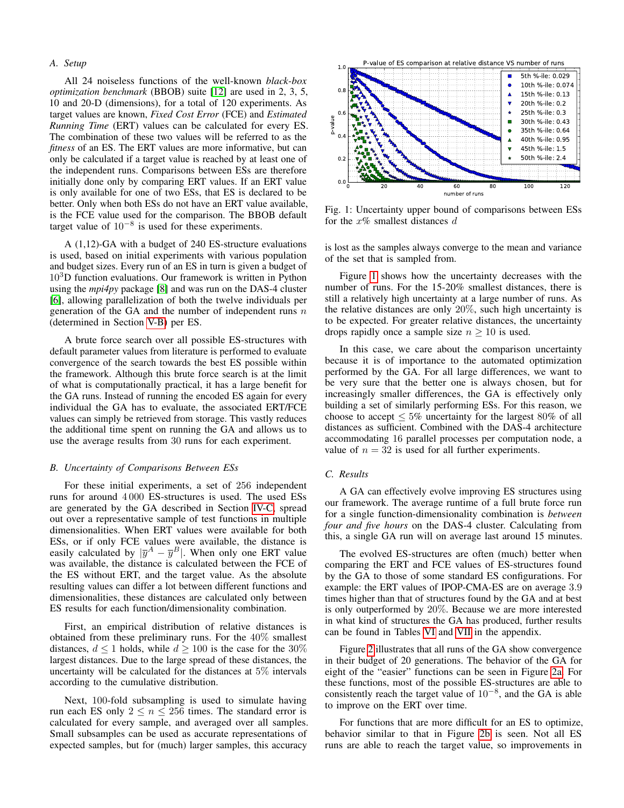# <span id="page-4-1"></span>*A. Setup*

All 24 noiseless functions of the well-known *black-box optimization benchmark* (BBOB) suite [\[12\]](#page-7-9) are used in 2, 3, 5, 10 and 20-D (dimensions), for a total of 120 experiments. As target values are known, *Fixed Cost Error* (FCE) and *Estimated Running Time* (ERT) values can be calculated for every ES. The combination of these two values will be referred to as the *fitness* of an ES. The ERT values are more informative, but can only be calculated if a target value is reached by at least one of the independent runs. Comparisons between ESs are therefore initially done only by comparing ERT values. If an ERT value is only available for one of two ESs, that ES is declared to be better. Only when both ESs do not have an ERT value available, is the FCE value used for the comparison. The BBOB default target value of  $10^{-8}$  is used for these experiments.

A (1,12)-GA with a budget of 240 ES-structure evaluations is used, based on initial experiments with various population and budget sizes. Every run of an ES in turn is given a budget of  $10<sup>3</sup>D$  function evaluations. Our framework is written in Python using the *mpi4py* package [\[8\]](#page-7-27) and was run on the DAS-4 cluster [\[6\]](#page-7-28), allowing parallelization of both the twelve individuals per generation of the GA and the number of independent runs  $n$ (determined in Section [V-B\)](#page-4-0) per ES.

A brute force search over all possible ES-structures with default parameter values from literature is performed to evaluate convergence of the search towards the best ES possible within the framework. Although this brute force search is at the limit of what is computationally practical, it has a large benefit for the GA runs. Instead of running the encoded ES again for every individual the GA has to evaluate, the associated ERT/FCE values can simply be retrieved from storage. This vastly reduces the additional time spent on running the GA and allows us to use the average results from 30 runs for each experiment.

#### <span id="page-4-0"></span>*B. Uncertainty of Comparisons Between ESs*

For these initial experiments, a set of 256 independent runs for around 4 000 ES-structures is used. The used ESs are generated by the GA described in Section [IV-C,](#page-3-2) spread out over a representative sample of test functions in multiple dimensionalities. When ERT values were available for both ESs, or if only FCE values were available, the distance is easily calculated by  $|\overline{y}^A - \overline{y}^B|$ . When only one ERT value was available, the distance is calculated between the FCE of the ES without ERT, and the target value. As the absolute resulting values can differ a lot between different functions and dimensionalities, these distances are calculated only between ES results for each function/dimensionality combination.

First, an empirical distribution of relative distances is obtained from these preliminary runs. For the 40% smallest distances,  $d \leq 1$  holds, while  $d \geq 100$  is the case for the 30% largest distances. Due to the large spread of these distances, the uncertainty will be calculated for the distances at 5% intervals according to the cumulative distribution.

Next, 100-fold subsampling is used to simulate having run each ES only  $2 \le n \le 256$  times. The standard error is calculated for every sample, and averaged over all samples. Small subsamples can be used as accurate representations of expected samples, but for (much) larger samples, this accuracy

<span id="page-4-3"></span>

Fig. 1: Uncertainty upper bound of comparisons between ESs for the  $x\%$  smallest distances d

is lost as the samples always converge to the mean and variance of the set that is sampled from.

Figure [1](#page-4-3) shows how the uncertainty decreases with the number of runs. For the 15-20% smallest distances, there is still a relatively high uncertainty at a large number of runs. As the relative distances are only 20%, such high uncertainty is to be expected. For greater relative distances, the uncertainty drops rapidly once a sample size  $n \geq 10$  is used.

In this case, we care about the comparison uncertainty because it is of importance to the automated optimization performed by the GA. For all large differences, we want to be very sure that the better one is always chosen, but for increasingly smaller differences, the GA is effectively only building a set of similarly performing ESs. For this reason, we choose to accept  $\leq 5\%$  uncertainty for the largest 80% of all distances as sufficient. Combined with the DAS-4 architecture accommodating 16 parallel processes per computation node, a value of  $n = 32$  is used for all further experiments.

#### <span id="page-4-2"></span>*C. Results*

A GA can effectively evolve improving ES structures using our framework. The average runtime of a full brute force run for a single function-dimensionality combination is *between four and five hours* on the DAS-4 cluster. Calculating from this, a single GA run will on average last around 15 minutes.

The evolved ES-structures are often (much) better when comparing the ERT and FCE values of ES-structures found by the GA to those of some standard ES configurations. For example: the ERT values of IPOP-CMA-ES are on average 3.9 times higher than that of structures found by the GA and at best is only outperformed by 20%. Because we are more interested in what kind of structures the GA has produced, further results can be found in Tables [VI](#page-8-0) and [VII](#page-9-0) in the appendix.

Figure [2](#page-6-0) illustrates that all runs of the GA show convergence in their budget of 20 generations. The behavior of the GA for eight of the "easier" functions can be seen in Figure [2a.](#page-6-0) For these functions, most of the possible ES-structures are able to consistently reach the target value of  $10^{-8}$ , and the GA is able to improve on the ERT over time.

For functions that are more difficult for an ES to optimize, behavior similar to that in Figure [2b](#page-6-0) is seen. Not all ES runs are able to reach the target value, so improvements in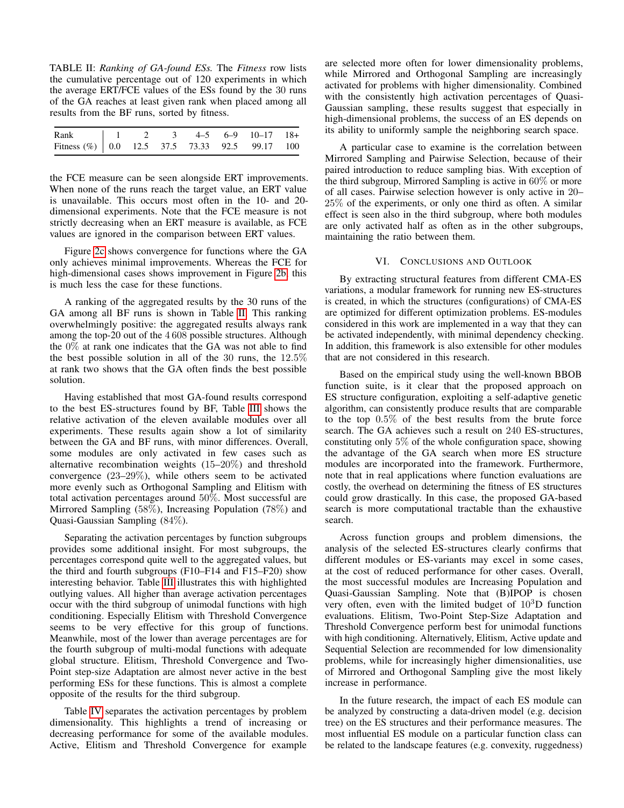<span id="page-5-0"></span>TABLE II: *Ranking of GA-found ESs.* The *Fitness* row lists the cumulative percentage out of 120 experiments in which the average ERT/FCE values of the ESs found by the 30 runs of the GA reaches at least given rank when placed among all results from the BF runs, sorted by fitness.

| Rank   1 2 3 4-5 6-9 10-17 18+                                                                |  |  |  |  |
|-----------------------------------------------------------------------------------------------|--|--|--|--|
| Fitness (%) $\begin{array}{ ccc } 0.0 & 12.5 & 37.5 & 73.33 & 92.5 & 99.17 & 100 \end{array}$ |  |  |  |  |

the FCE measure can be seen alongside ERT improvements. When none of the runs reach the target value, an ERT value is unavailable. This occurs most often in the 10- and 20 dimensional experiments. Note that the FCE measure is not strictly decreasing when an ERT measure is available, as FCE values are ignored in the comparison between ERT values.

Figure [2c](#page-6-0) shows convergence for functions where the GA only achieves minimal improvements. Whereas the FCE for high-dimensional cases shows improvement in Figure [2b,](#page-6-0) this is much less the case for these functions.

A ranking of the aggregated results by the 30 runs of the GA among all BF runs is shown in Table [II.](#page-5-0) This ranking overwhelmingly positive: the aggregated results always rank among the top-20 out of the 4 608 possible structures. Although the 0% at rank one indicates that the GA was not able to find the best possible solution in all of the 30 runs, the  $12.5\%$ at rank two shows that the GA often finds the best possible solution.

Having established that most GA-found results correspond to the best ES-structures found by BF, Table [III](#page-6-1) shows the relative activation of the eleven available modules over all experiments. These results again show a lot of similarity between the GA and BF runs, with minor differences. Overall, some modules are only activated in few cases such as alternative recombination weights (15–20%) and threshold convergence (23–29%), while others seem to be activated more evenly such as Orthogonal Sampling and Elitism with total activation percentages around 50%. Most successful are Mirrored Sampling (58%), Increasing Population (78%) and Quasi-Gaussian Sampling (84%).

Separating the activation percentages by function subgroups provides some additional insight. For most subgroups, the percentages correspond quite well to the aggregated values, but the third and fourth subgroups (F10–F14 and F15–F20) show interesting behavior. Table [III](#page-6-1) illustrates this with highlighted outlying values. All higher than average activation percentages occur with the third subgroup of unimodal functions with high conditioning. Especially Elitism with Threshold Convergence seems to be very effective for this group of functions. Meanwhile, most of the lower than average percentages are for the fourth subgroup of multi-modal functions with adequate global structure. Elitism, Threshold Convergence and Two-Point step-size Adaptation are almost never active in the best performing ESs for these functions. This is almost a complete opposite of the results for the third subgroup.

Table [IV](#page-6-2) separates the activation percentages by problem dimensionality. This highlights a trend of increasing or decreasing performance for some of the available modules. Active, Elitism and Threshold Convergence for example

are selected more often for lower dimensionality problems, while Mirrored and Orthogonal Sampling are increasingly activated for problems with higher dimensionality. Combined with the consistently high activation percentages of Quasi-Gaussian sampling, these results suggest that especially in high-dimensional problems, the success of an ES depends on its ability to uniformly sample the neighboring search space.

A particular case to examine is the correlation between Mirrored Sampling and Pairwise Selection, because of their paired introduction to reduce sampling bias. With exception of the third subgroup, Mirrored Sampling is active in 60% or more of all cases. Pairwise selection however is only active in 20– 25% of the experiments, or only one third as often. A similar effect is seen also in the third subgroup, where both modules are only activated half as often as in the other subgroups, maintaining the ratio between them.

## VI. CONCLUSIONS AND OUTLOOK

By extracting structural features from different CMA-ES variations, a modular framework for running new ES-structures is created, in which the structures (configurations) of CMA-ES are optimized for different optimization problems. ES-modules considered in this work are implemented in a way that they can be activated independently, with minimal dependency checking. In addition, this framework is also extensible for other modules that are not considered in this research.

Based on the empirical study using the well-known BBOB function suite, is it clear that the proposed approach on ES structure configuration, exploiting a self-adaptive genetic algorithm, can consistently produce results that are comparable to the top 0.5% of the best results from the brute force search. The GA achieves such a result on 240 ES-structures, constituting only 5% of the whole configuration space, showing the advantage of the GA search when more ES structure modules are incorporated into the framework. Furthermore, note that in real applications where function evaluations are costly, the overhead on determining the fitness of ES structures could grow drastically. In this case, the proposed GA-based search is more computational tractable than the exhaustive search.

Across function groups and problem dimensions, the analysis of the selected ES-structures clearly confirms that different modules or ES-variants may excel in some cases, at the cost of reduced performance for other cases. Overall, the most successful modules are Increasing Population and Quasi-Gaussian Sampling. Note that (B)IPOP is chosen very often, even with the limited budget of  $10<sup>3</sup>D$  function evaluations. Elitism, Two-Point Step-Size Adaptation and Threshold Convergence perform best for unimodal functions with high conditioning. Alternatively, Elitism, Active update and Sequential Selection are recommended for low dimensionality problems, while for increasingly higher dimensionalities, use of Mirrored and Orthogonal Sampling give the most likely increase in performance.

In the future research, the impact of each ES module can be analyzed by constructing a data-driven model (e.g. decision tree) on the ES structures and their performance measures. The most influential ES module on a particular function class can be related to the landscape features (e.g. convexity, ruggedness)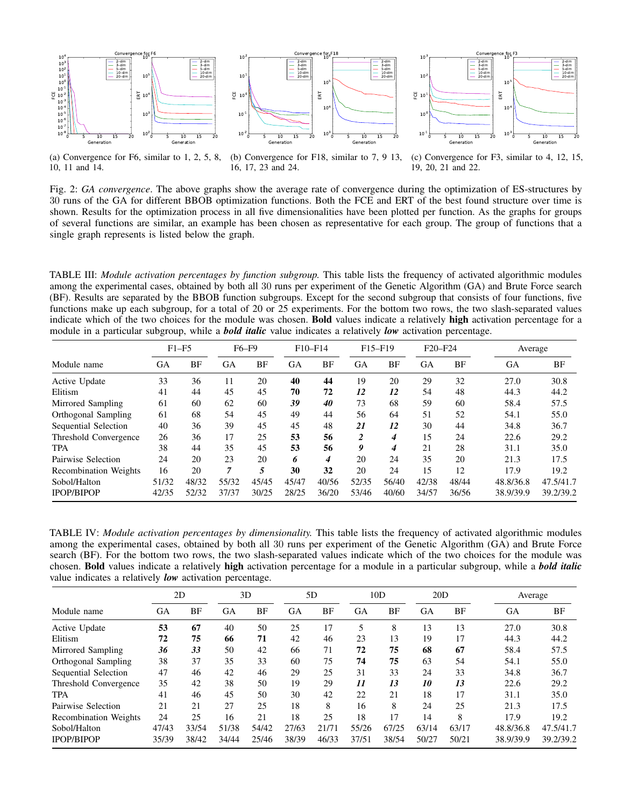<span id="page-6-0"></span>





(a) Convergence for F6, similar to 1, 2, 5, 8, 10, 11 and 14.

(b) Convergence for F18, similar to 7, 9 13, 16, 17, 23 and 24.

(c) Convergence for F3, similar to 4, 12, 15, 19, 20, 21 and 22.

Fig. 2: *GA convergence*. The above graphs show the average rate of convergence during the optimization of ES-structures by 30 runs of the GA for different BBOB optimization functions. Both the FCE and ERT of the best found structure over time is shown. Results for the optimization process in all five dimensionalities have been plotted per function. As the graphs for groups of several functions are similar, an example has been chosen as representative for each group. The group of functions that a single graph represents is listed below the graph.

<span id="page-6-1"></span>TABLE III: *Module activation percentages by function subgroup.* This table lists the frequency of activated algorithmic modules among the experimental cases, obtained by both all 30 runs per experiment of the Genetic Algorithm (GA) and Brute Force search (BF). Results are separated by the BBOB function subgroups. Except for the second subgroup that consists of four functions, five functions make up each subgroup, for a total of 20 or 25 experiments. For the bottom two rows, the two slash-separated values indicate which of the two choices for the module was chosen. Bold values indicate a relatively high activation percentage for a module in a particular subgroup, while a *bold italic* value indicates a relatively *low* activation percentage.

|                              | $F1-F5$   |       | F6-F9 |       | $F10-F14$ |       | F <sub>15</sub> -F <sub>19</sub> |       | F <sub>20</sub> -F <sub>24</sub> |           | Average   |           |
|------------------------------|-----------|-------|-------|-------|-----------|-------|----------------------------------|-------|----------------------------------|-----------|-----------|-----------|
| Module name                  | <b>GA</b> | BF    | GA    | BF    | GA        | ΒF    | <b>GA</b>                        | BF    | GA                               | <b>BF</b> | <b>GA</b> | ΒF        |
| Active Update                | 33        | 36    | 11    | 20    | 40        | 44    | 19                               | 20    | 29                               | 32        | 27.0      | 30.8      |
| Elitism                      | 41        | 44    | 45    | 45    | 70        | 72    | 12                               | 12    | 54                               | 48        | 44.3      | 44.2      |
| Mirrored Sampling            | 61        | 60    | 62    | 60    | 39        | 40    | 73                               | 68    | 59                               | 60        | 58.4      | 57.5      |
| Orthogonal Sampling          | 61        | 68    | 54    | 45    | 49        | 44    | 56                               | 64    | 51                               | 52        | 54.1      | 55.0      |
| Sequential Selection         | 40        | 36    | 39    | 45    | 45        | 48    | 21                               | 12    | 30                               | 44        | 34.8      | 36.7      |
| Threshold Convergence        | 26        | 36    | 17    | 25    | 53        | 56    | 2                                | 4     | 15                               | 24        | 22.6      | 29.2      |
| <b>TPA</b>                   | 38        | 44    | 35    | 45    | 53        | 56    | 9                                | 4     | 21                               | 28        | 31.1      | 35.0      |
| Pairwise Selection           | 24        | 20    | 23    | 20    | 6         | 4     | 20                               | 24    | 35                               | 20        | 21.3      | 17.5      |
| <b>Recombination Weights</b> | 16        | 20    | 7     | 5     | 30        | 32    | 20                               | 24    | 15                               | 12        | 17.9      | 19.2      |
| Sobol/Halton                 | 51/32     | 48/32 | 55/32 | 45/45 | 45/47     | 40/56 | 52/35                            | 56/40 | 42/38                            | 48/44     | 48.8/36.8 | 47.5/41.7 |
| <b>IPOP/BIPOP</b>            | 42/35     | 52/32 | 37/37 | 30/25 | 28/25     | 36/20 | 53/46                            | 40/60 | 34/57                            | 36/56     | 38.9/39.9 | 39.2/39.2 |

<span id="page-6-2"></span>TABLE IV: *Module activation percentages by dimensionality.* This table lists the frequency of activated algorithmic modules among the experimental cases, obtained by both all 30 runs per experiment of the Genetic Algorithm (GA) and Brute Force search (BF). For the bottom two rows, the two slash-separated values indicate which of the two choices for the module was chosen. Bold values indicate a relatively high activation percentage for a module in a particular subgroup, while a *bold italic* value indicates a relatively *low* activation percentage.

|                              | 2D    |       | 3D    |       | 5D    |       | 10D       |       | 20D       |       | Average   |           |
|------------------------------|-------|-------|-------|-------|-------|-------|-----------|-------|-----------|-------|-----------|-----------|
| Module name                  | GА    | BF    | GA    | BF    | GA    | BF    | <b>GA</b> | BF    | <b>GA</b> | BF    | <b>GA</b> | BF        |
| Active Update                | 53    | 67    | 40    | 50    | 25    | 17    | 5         | 8     | 13        | 13    | 27.0      | 30.8      |
| Elitism                      | 72    | 75    | 66    | 71    | 42    | 46    | 23        | 13    | 19        | 17    | 44.3      | 44.2      |
| Mirrored Sampling            | 36    | 33    | 50    | 42    | 66    | 71    | 72        | 75    | 68        | 67    | 58.4      | 57.5      |
| Orthogonal Sampling          | 38    | 37    | 35    | 33    | 60    | 75    | 74        | 75    | 63        | 54    | 54.1      | 55.0      |
| Sequential Selection         | 47    | 46    | 42    | 46    | 29    | 25    | 31        | 33    | 24        | 33    | 34.8      | 36.7      |
| Threshold Convergence        | 35    | 42    | 38    | 50    | 19    | 29    | 11        | 13    | 10        | 13    | 22.6      | 29.2      |
| <b>TPA</b>                   | 41    | 46    | 45    | 50    | 30    | 42    | 22        | 21    | 18        | 17    | 31.1      | 35.0      |
| Pairwise Selection           | 21    | 21    | 27    | 25    | 18    | 8     | 16        | 8     | 24        | 25    | 21.3      | 17.5      |
| <b>Recombination Weights</b> | 24    | 25    | 16    | 21    | 18    | 25    | 18        | 17    | 14        | 8     | 17.9      | 19.2      |
| Sobol/Halton                 | 47/43 | 33/54 | 51/38 | 54/42 | 27/63 | 21/71 | 55/26     | 67/25 | 63/14     | 63/17 | 48.8/36.8 | 47.5/41.7 |
| <b>IPOP/BIPOP</b>            | 35/39 | 38/42 | 34/44 | 25/46 | 38/39 | 46/33 | 37/51     | 38/54 | 50/27     | 50/21 | 38.9/39.9 | 39.2/39.2 |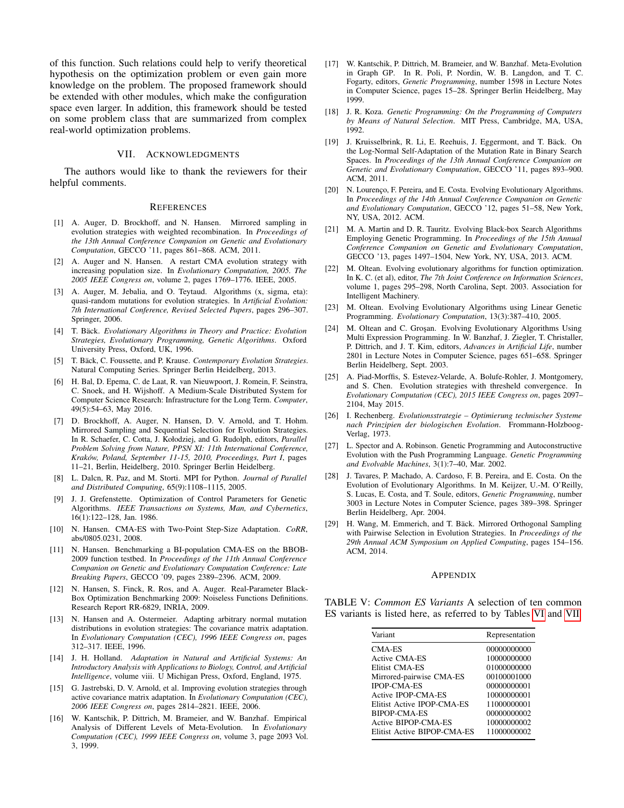of this function. Such relations could help to verify theoretical hypothesis on the optimization problem or even gain more knowledge on the problem. The proposed framework should be extended with other modules, which make the configuration space even larger. In addition, this framework should be tested on some problem class that are summarized from complex real-world optimization problems.

#### VII. ACKNOWLEDGMENTS

The authors would like to thank the reviewers for their helpful comments.

#### **REFERENCES**

- <span id="page-7-22"></span>[1] A. Auger, D. Brockhoff, and N. Hansen. Mirrored sampling in evolution strategies with weighted recombination. In *Proceedings of the 13th Annual Conference Companion on Genetic and Evolutionary Computation*, GECCO '11, pages 861–868. ACM, 2011.
- <span id="page-7-24"></span>[2] A. Auger and N. Hansen. A restart CMA evolution strategy with increasing population size. In *Evolutionary Computation, 2005. The 2005 IEEE Congress on*, volume 2, pages 1769–1776. IEEE, 2005.
- <span id="page-7-23"></span>[3] A. Auger, M. Jebalia, and O. Teytaud. Algorithms (x, sigma, eta): quasi-random mutations for evolution strategies. In *Artificial Evolution: 7th International Conference, Revised Selected Papers*, pages 296–307. Springer, 2006.
- <span id="page-7-4"></span>[4] T. Bäck. Evolutionary Algorithms in Theory and Practice: Evolution *Strategies, Evolutionary Programming, Genetic Algorithms*. Oxford University Press, Oxford, UK, 1996.
- <span id="page-7-2"></span>[5] T. Bäck, C. Foussette, and P. Krause. *Contemporary Evolution Strategies*. Natural Computing Series. Springer Berlin Heidelberg, 2013.
- <span id="page-7-28"></span>[6] H. Bal, D. Epema, C. de Laat, R. van Nieuwpoort, J. Romein, F. Seinstra, C. Snoek, and H. Wijshoff. A Medium-Scale Distributed System for Computer Science Research: Infrastructure for the Long Term. *Computer*, 49(5):54–63, May 2016.
- <span id="page-7-18"></span>[7] D. Brockhoff, A. Auger, N. Hansen, D. V. Arnold, and T. Hohm. Mirrored Sampling and Sequential Selection for Evolution Strategies. In R. Schaefer, C. Cotta, J. Kołodziej, and G. Rudolph, editors, *Parallel Problem Solving from Nature, PPSN XI: 11th International Conference, Krakow, Poland, September 11-15, 2010, Proceedings, Part I ´* , pages 11–21, Berlin, Heidelberg, 2010. Springer Berlin Heidelberg.
- <span id="page-7-27"></span>[8] L. Dalcn, R. Paz, and M. Storti. MPI for Python. *Journal of Parallel and Distributed Computing*, 65(9):1108–1115, 2005.
- <span id="page-7-3"></span>[9] J. J. Grefenstette. Optimization of Control Parameters for Genetic Algorithms. *IEEE Transactions on Systems, Man, and Cybernetics*, 16(1):122–128, Jan. 1986.
- <span id="page-7-21"></span>[10] N. Hansen. CMA-ES with Two-Point Step-Size Adaptation. *CoRR*, abs/0805.0231, 2008.
- <span id="page-7-25"></span>[11] N. Hansen. Benchmarking a BI-population CMA-ES on the BBOB-2009 function testbed. In *Proceedings of the 11th Annual Conference Companion on Genetic and Evolutionary Computation Conference: Late Breaking Papers*, GECCO '09, pages 2389–2396. ACM, 2009.
- <span id="page-7-9"></span>[12] N. Hansen, S. Finck, R. Ros, and A. Auger. Real-Parameter Black-Box Optimization Benchmarking 2009: Noiseless Functions Definitions. Research Report RR-6829, INRIA, 2009.
- <span id="page-7-8"></span>[13] N. Hansen and A. Ostermeier. Adapting arbitrary normal mutation distributions in evolution strategies: The covariance matrix adaptation. In *Evolutionary Computation (CEC), 1996 IEEE Congress on*, pages 312–317. IEEE, 1996.
- <span id="page-7-0"></span>[14] J. H. Holland. *Adaptation in Natural and Artificial Systems: An Introductory Analysis with Applications to Biology, Control, and Artificial Intelligence*, volume viii. U Michigan Press, Oxford, England, 1975.
- <span id="page-7-17"></span>[15] G. Jastrebski, D. V. Arnold, et al. Improving evolution strategies through active covariance matrix adaptation. In *Evolutionary Computation (CEC), 2006 IEEE Congress on*, pages 2814–2821. IEEE, 2006.
- <span id="page-7-6"></span>[16] W. Kantschik, P. Dittrich, M. Brameier, and W. Banzhaf. Empirical Analysis of Different Levels of Meta-Evolution. In *Evolutionary Computation (CEC), 1999 IEEE Congress on*, volume 3, page 2093 Vol. 3, 1999.
- <span id="page-7-5"></span>[17] W. Kantschik, P. Dittrich, M. Brameier, and W. Banzhaf. Meta-Evolution in Graph GP. In R. Poli, P. Nordin, W. B. Langdon, and T. C. Fogarty, editors, *Genetic Programming*, number 1598 in Lecture Notes in Computer Science, pages 15–28. Springer Berlin Heidelberg, May 1999.
- <span id="page-7-10"></span>[18] J. R. Koza. *Genetic Programming: On the Programming of Computers by Means of Natural Selection*. MIT Press, Cambridge, MA, USA, 1992.
- <span id="page-7-26"></span>[19] J. Kruisselbrink, R. Li, E. Reehuis, J. Eggermont, and T. Bäck. On the Log-Normal Self-Adaptation of the Mutation Rate in Binary Search Spaces. In *Proceedings of the 13th Annual Conference Companion on Genetic and Evolutionary Computation*, GECCO '11, pages 893–900. ACM, 2011.
- <span id="page-7-16"></span>[20] N. Lourenço, F. Pereira, and E. Costa. Evolving Evolutionary Algorithms. In *Proceedings of the 14th Annual Conference Companion on Genetic and Evolutionary Computation*, GECCO '12, pages 51–58, New York, NY, USA, 2012. ACM.
- <span id="page-7-15"></span>[21] M. A. Martin and D. R. Tauritz. Evolving Black-box Search Algorithms Employing Genetic Programming. In *Proceedings of the 15th Annual Conference Companion on Genetic and Evolutionary Computation*, GECCO '13, pages 1497–1504, New York, NY, USA, 2013. ACM.
- <span id="page-7-13"></span>[22] M. Oltean. Evolving evolutionary algorithms for function optimization. In K. C. (et al), editor, *The 7th Joint Conference on Information Sciences*, volume 1, pages 295–298, North Carolina, Sept. 2003. Association for Intelligent Machinery.
- <span id="page-7-14"></span>[23] M. Oltean. Evolving Evolutionary Algorithms using Linear Genetic Programming. *Evolutionary Computation*, 13(3):387–410, 2005.
- <span id="page-7-12"></span>[24] M. Oltean and C. Groșan. Evolving Evolutionary Algorithms Using Multi Expression Programming. In W. Banzhaf, J. Ziegler, T. Christaller, P. Dittrich, and J. T. Kim, editors, *Advances in Artificial Life*, number 2801 in Lecture Notes in Computer Science, pages 651–658. Springer Berlin Heidelberg, Sept. 2003.
- <span id="page-7-20"></span>[25] A. Piad-Morffis, S. Estevez-Velarde, A. Bolufe-Rohler, J. Montgomery, and S. Chen. Evolution strategies with thresheld convergence. In *Evolutionary Computation (CEC), 2015 IEEE Congress on*, pages 2097– 2104, May 2015.
- <span id="page-7-1"></span>[26] I. Rechenberg. *Evolutionsstrategie – Optimierung technischer Systeme nach Prinzipien der biologischen Evolution*. Frommann-Holzboog-Verlag, 1973.
- <span id="page-7-7"></span>[27] L. Spector and A. Robinson. Genetic Programming and Autoconstructive Evolution with the Push Programming Language. *Genetic Programming and Evolvable Machines*, 3(1):7–40, Mar. 2002.
- <span id="page-7-11"></span>[28] J. Tavares, P. Machado, A. Cardoso, F. B. Pereira, and E. Costa. On the Evolution of Evolutionary Algorithms. In M. Keijzer, U.-M. O'Reilly, S. Lucas, E. Costa, and T. Soule, editors, *Genetic Programming*, number 3003 in Lecture Notes in Computer Science, pages 389–398. Springer Berlin Heidelberg, Apr. 2004.
- <span id="page-7-19"></span>[29] H. Wang, M. Emmerich, and T. Bäck. Mirrored Orthogonal Sampling with Pairwise Selection in Evolution Strategies. In *Proceedings of the 29th Annual ACM Symposium on Applied Computing*, pages 154–156. ACM, 2014.

#### APPENDIX

<span id="page-7-29"></span>TABLE V: *Common ES Variants* A selection of ten common ES variants is listed here, as referred to by Tables [VI](#page-8-0) and [VII.](#page-9-0)

| Variant                     | Representation |
|-----------------------------|----------------|
| CMA-ES                      | 00000000000    |
| Active CMA-ES               | 10000000000    |
| Elitist CMA-ES              | 01000000000    |
| Mirrored-pairwise CMA-ES    | 00100001000    |
| <b>IPOP-CMA-ES</b>          | 00000000001    |
| Active IPOP-CMA-ES          | 10000000001    |
| Elitist Active IPOP-CMA-ES  | 11000000001    |
| BIPOP-CMA-ES                | 00000000002    |
| Active BIPOP-CMA-ES         | 10000000002    |
| Elitist Active BIPOP-CMA-ES | 11000000002    |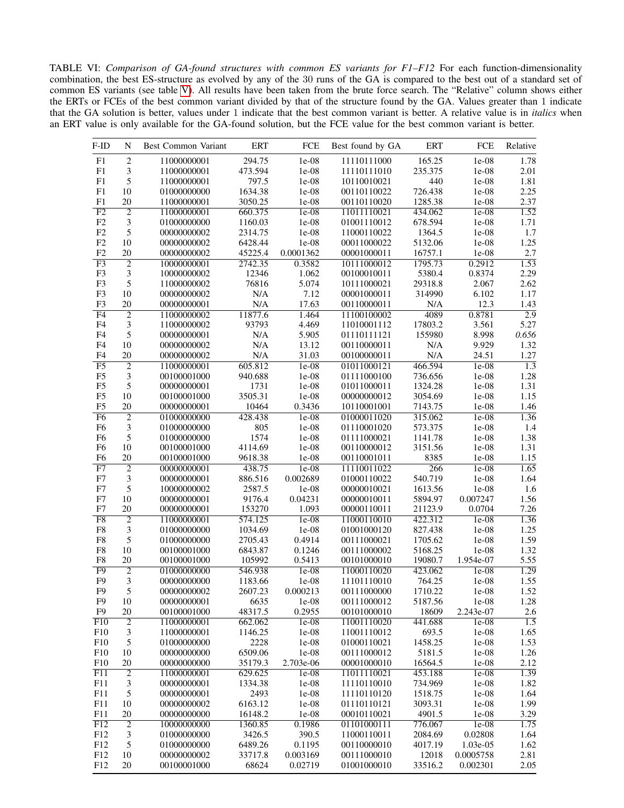<span id="page-8-0"></span>TABLE VI: *Comparison of GA-found structures with common ES variants for F1–F12* For each function-dimensionality combination, the best ES-structure as evolved by any of the 30 runs of the GA is compared to the best out of a standard set of common ES variants (see table [V\)](#page-7-29). All results have been taken from the brute force search. The "Relative" column shows either the ERTs or FCEs of the best common variant divided by that of the structure found by the GA. Values greater than 1 indicate that the GA solution is better, values under 1 indicate that the best common variant is better. A relative value is in *italics* when an ERT value is only available for the GA-found solution, but the FCE value for the best common variant is better.

| F-ID            | N              | Best Common Variant        | <b>ERT</b> | FCE       | Best found by GA           | <b>ERT</b>         | FCE       | Relative         |
|-----------------|----------------|----------------------------|------------|-----------|----------------------------|--------------------|-----------|------------------|
| ${\rm F}1$      | $\sqrt{2}$     | 11000000001                | 294.75     | 1e-08     | 11110111000                | 165.25             | 1e-08     | 1.78             |
| ${\rm F}1$      | $\mathfrak{Z}$ | 11000000001                | 473.594    | $1e-08$   | 11110111010                | 235.375            | 1e-08     | 2.01             |
| F1              | 5              | 11000000001                | 797.5      | $1e-08$   | 10110010021                | 440                | $1e-08$   | 1.81             |
| F1              | 10             | 01000000000                | 1634.38    | $1e-08$   | 00110110022                | 726.438            | $1e-08$   | 2.25             |
| ${\rm F}1$      | 20             | 11000000001                | 3050.25    | $1e-08$   | 00110110020                | 1285.38            | $1e-08$   | 2.37             |
| F2              | $\overline{2}$ | 11000000001                | 660.375    | $1e-08$   | 11011110021                | 434.062            | $1e-08$   | 1.52             |
| F2              | 3              | 01000000000                | 1160.03    | $1e-08$   | 01001110012                | 678.594            | $1e-08$   | 1.71             |
| F2              | 5              | 00000000002                | 2314.75    | $1e-08$   | 11000110022                | 1364.5             | $1e-08$   | 1.7              |
| F2              | 10             | 00000000002                | 6428.44    | 1e-08     | 00011000022                | 5132.06            | $1e-08$   | 1.25             |
| F2              | 20             | 00000000002                | 45225.4    | 0.0001362 | 00001000011                | 16757.1            | $1e-08$   | 2.7              |
| F <sub>3</sub>  | $\overline{2}$ | 10000000001                | 2742.35    | 0.3582    | 10111000012                | 1795.73            | 0.2912    | 1.53             |
| F3              | $\mathfrak{Z}$ | 10000000002                | 12346      | 1.062     | 00100010011                | 5380.4             | 0.8374    | 2.29             |
| F <sub>3</sub>  | 5              | 11000000002                | 76816      | 5.074     | 10111000021                | 29318.8            | 2.067     | 2.62             |
| F3              | 10             | 00000000002                | N/A        | 7.12      | 00001000011                | 314990             | 6.102     | 1.17             |
| F <sub>3</sub>  | 20             | 00000000001                | N/A        | 17.63     | 00110000011                | $\rm N/A$          | 12.3      | 1.43             |
| F4              | $\overline{2}$ | 11000000002                | 11877.6    | 1.464     | 11100100002                | 4089               | 0.8781    | $\overline{2.9}$ |
| F <sub>4</sub>  | 3              | 11000000002                | 93793      | 4.469     | 11010001112                | 17803.2            | 3.561     | 5.27             |
| F <sub>4</sub>  | 5              | 00000000001                | $\rm N/A$  | 5.905     | 01110111121                | 155980             | 8.998     | 0.656            |
| F <sub>4</sub>  | 10             | 00000000002                | N/A        | 13.12     | 00110000011                | $\rm N/A$          | 9.929     | 1.32             |
| F <sub>4</sub>  | 20             | 00000000002                | N/A        | 31.03     | 00100000011                | N/A                | 24.51     | 1.27             |
| F5              | $\overline{2}$ | 11000000001                | 605.812    | $1e-08$   | 01011000121                | 466.594            | $1e-08$   | $\overline{1.3}$ |
| F <sub>5</sub>  | 3              | 00100001000                | 940.688    | $1e-08$   |                            | 736.656            |           | 1.28             |
| F <sub>5</sub>  | 5              |                            | 1731       | $1e-08$   | 01111000100                | 1324.28            | $1e-08$   | 1.31             |
| F <sub>5</sub>  |                | 00000000001<br>00100001000 | 3505.31    | 1e-08     | 01011000011<br>00000000012 |                    | $1e-08$   | 1.15             |
| F <sub>5</sub>  | 10             |                            | 10464      | 0.3436    |                            | 3054.69<br>7143.75 | $1e-08$   | 1.46             |
|                 | 20             | 00000000001                |            |           | 10110001001                |                    | $1e-08$   |                  |
| F6              | $\overline{c}$ | 01000000000                | 428.438    | $1e-08$   | 01000011020                | 315.062            | $1e-08$   | 1.36             |
| F <sub>6</sub>  | $\mathfrak{Z}$ | 01000000000                | 805        | 1e-08     | 01110001020                | 573.375            | 1e-08     | 1.4              |
| F <sub>6</sub>  | 5              | 01000000000                | 1574       | 1e-08     | 01111000021                | 1141.78            | $1e-08$   | 1.38             |
| F <sub>6</sub>  | 10             | 00100001000                | 4114.69    | $1e-08$   | 00110000012                | 3151.56            | $1e-08$   | 1.31             |
| F <sub>6</sub>  | 20             | 00100001000                | 9618.38    | $1e-08$   | 00110001011                | 8385               | $1e-08$   | 1.15             |
| F7              | $\overline{2}$ | 00000000001                | 438.75     | $1e-08$   | 11110011022                | 266                | $1e-08$   | 1.65             |
| F7              | 3              | 00000000001                | 886.516    | 0.002689  | 01000110022                | 540.719            | $1e-08$   | 1.64             |
| F7              | 5              | 10000000002                | 2587.5     | 1e-08     | 00000010021                | 1613.56            | 1e-08     | 1.6              |
| F7              | 10             | 00000000001                | 9176.4     | 0.04231   | 00000010011                | 5894.97            | 0.007247  | 1.56             |
| F7              | 20             | 00000000001                | 153270     | 1.093     | 00000110011                | 21123.9            | 0.0704    | 7.26             |
| F8              | $\overline{2}$ | 11000000001                | 574.125    | $1e-08$   | 11000110010                | 422.312            | $1e-08$   | 1.36             |
| F <sub>8</sub>  | $\mathfrak{Z}$ | 01000000000                | 1034.69    | $1e-08$   | 01001000120                | 827.438            | $1e-08$   | 1.25             |
| ${\rm F}8$      | 5              | 01000000000                | 2705.43    | 0.4914    | 00111000021                | 1705.62            | $1e-08$   | 1.59             |
| F <sub>8</sub>  | 10             | 00100001000                | 6843.87    | 0.1246    | 00111000002                | 5168.25            | $1e-08$   | 1.32             |
| F8              | 20             | 00100001000                | 105992     | 0.5413    | 00101000010                | 19080.7            | 1.954e-07 | 5.55             |
| $\overline{F9}$ | $\overline{2}$ | 01000000000                | 546.938    | $1e-08$   | 11000110020                | 423.062            | $1e-08$   | 1.29             |
| F <sub>9</sub>  | 3              | 00000000000                | 1183.66    | $1e-08$   | 11101110010                | 764.25             | $1e-08$   | 1.55             |
| F <sub>9</sub>  | 5              | 00000000002                | 2607.23    | 0.000213  | 00111000000                | 1710.22            | 1e-08     | 1.52             |
| F9              | 10             | 00000000001                | 6635       | 1e-08     | 00111000012                | 5187.56            | $1e-08$   | 1.28             |
| F <sub>9</sub>  | 20             | 00100001000                | 48317.5    | 0.2955    | 00101000010                | 18609              | 2.243e-07 | 2.6              |
| F10             | $\overline{2}$ | 11000000001                | 662.062    | $1e-08$   | 11001110020                | 441.688            | $1e-08$   | $\overline{1.5}$ |
| F10             | 3              | 11000000001                | 1146.25    | $1e-08$   | 11001110012                | 693.5              | $1e-08$   | 1.65             |
| F10             | 5              | 01000000000                | 2228       | $1e-08$   | 01000110021                | 1458.25            | $1e-08$   | 1.53             |
| F10             | 10             | 00000000000                | 6509.06    | $1e-08$   | 00111000012                | 5181.5             | $1e-08$   | 1.26             |
| F10             | 20             | 00000000000                | 35179.3    | 2.703e-06 | 00001000010                | 16564.5            | $1e-08$   | 2.12             |
| F11             | $\overline{2}$ | 11000000001                | 629.625    | $1e-08$   | 11011110021                | 453.188            | $1e-08$   | 1.39             |
| F11             | $\mathfrak{Z}$ | 00000000001                | 1334.38    | $1e-08$   | 11110110010                | 734.969            | $1e-08$   | 1.82             |
| F11             | $\mathfrak s$  | 00000000001                | 2493       | $1e-08$   | 11110110120                | 1518.75            | $1e-08$   | 1.64             |
| F11             | 10             | 00000000002                | 6163.12    | $1e-08$   | 01110110121                | 3093.31            | $1e-08$   | 1.99             |
| F11             | 20             | 00000000000                | 16148.2    | $1e-08$   | 00010110021                | 4901.5             | 1e-08     | 3.29             |
| F12             | $\overline{2}$ | 10000000000                | 1360.85    | 0.1986    | 01101000111                | 776.067            | $1e-08$   | 1.75             |
| F12             | 3              | 01000000000                | 3426.5     | 390.5     | 11000110011                | 2084.69            | 0.02808   | 1.64             |
| F12             | 5              | 01000000000                | 6489.26    | 0.1195    | 00110000010                | 4017.19            | 1.03e-05  | 1.62             |
| F12             | 10             | 00000000002                | 33717.8    | 0.003169  | 00111000010                | 12018              | 0.0005758 | 2.81             |
| F12             | 20             | 00100001000                | 68624      | 0.02719   | 01001000010                | 33516.2            | 0.002301  | 2.05             |